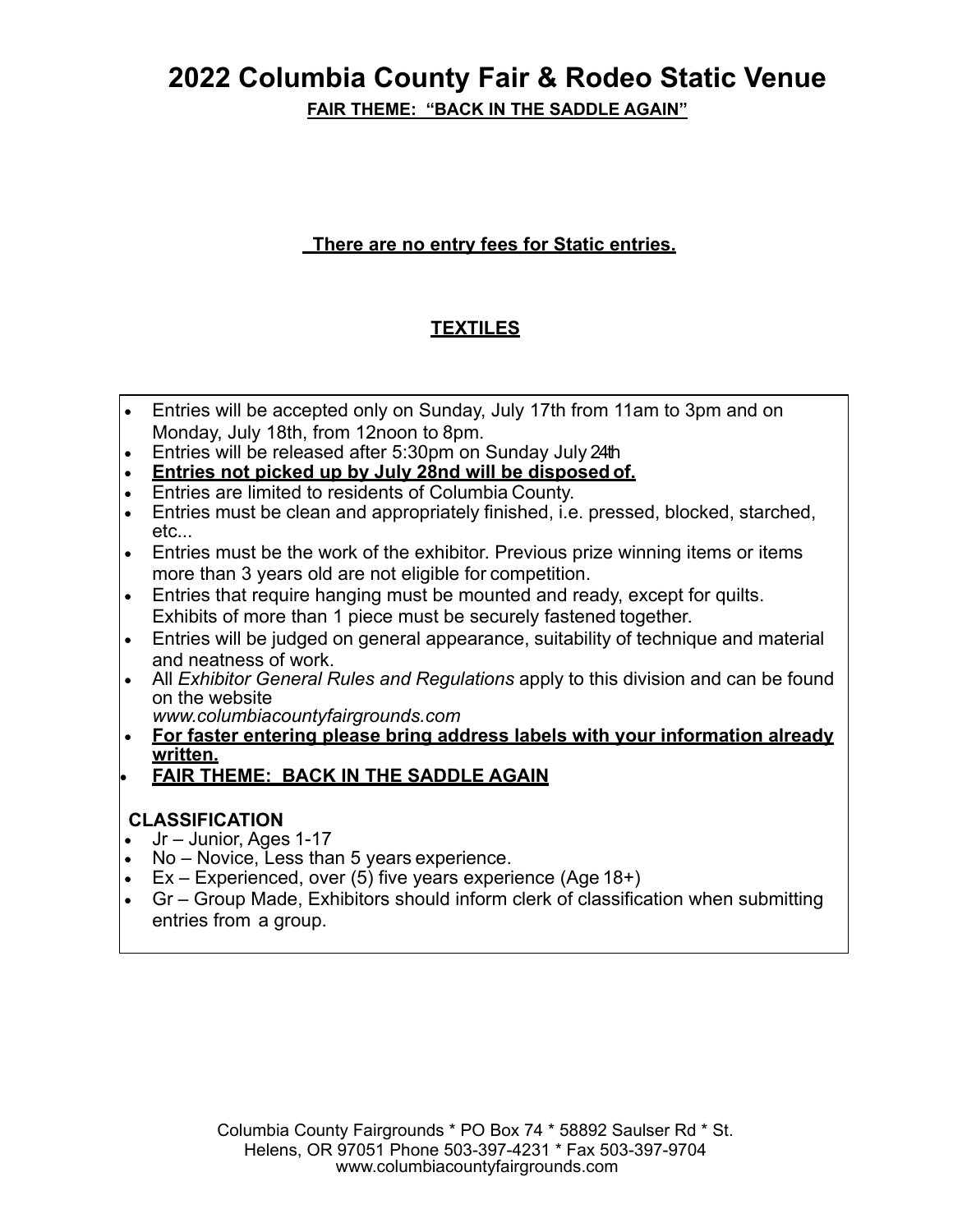**FAIR THEME: "BACK IN THE SADDLE AGAIN"**

### **There are no entry fees for Static entries.**

### **TEXTILES**

- Entries will be accepted only on Sunday, July 17th from 11am to 3pm and on Monday, July 18th, from 12noon to 8pm.
- Entries will be released after 5:30pm on Sunday July 24th
- **Entries not picked up by July 28nd will be disposed of.**
- Entries are limited to residents of Columbia County.
- Entries must be clean and appropriately finished, i.e. pressed, blocked, starched, etc...
- Entries must be the work of the exhibitor. Previous prize winning items or items more than 3 years old are not eligible for competition.
- Entries that require hanging must be mounted and ready, except for quilts. Exhibits of more than 1 piece must be securely fastened together.
- Entries will be judged on general appearance, suitability of technique and material and neatness of work.
- All *Exhibitor General Rules and Regulations* apply to this division and can be found on the website
	- *www.columbiacountyfairgrounds.com*
- **For faster entering please bring address labels with your information already written.**
- **FAIR THEME: BACK IN THE SADDLE AGAIN**

### **CLASSIFICATION**

- $\bullet$  Jr Junior, Ages 1-17
- No Novice, Less than 5 years experience.
- Ex Experienced, over (5) five years experience (Age  $18+$ )
- Gr Group Made, Exhibitors should inform clerk of classification when submitting entries from a group.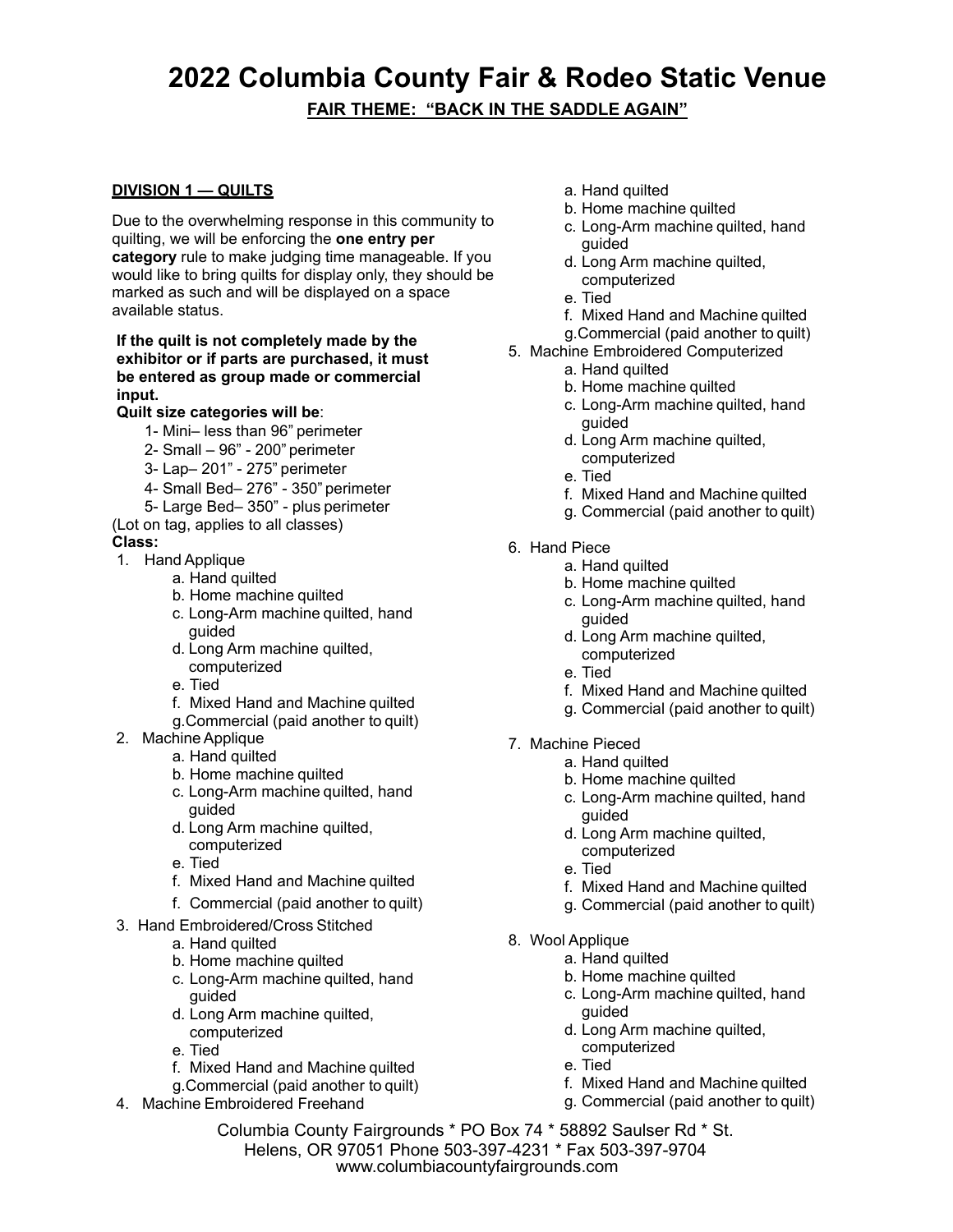#### **DIVISION 1 — QUILTS**

Due to the overwhelming response in this community to quilting, we will be enforcing the **one entry per category** rule to make judging time manageable. If you would like to bring quilts for display only, they should be marked as such and will be displayed on a space available status.

#### **If the quilt is not completely made by the exhibitor or if parts are purchased, it must be entered as group made or commercial input.**

#### **Quilt size categories will be**:

- 1- Mini– less than 96" perimeter
- 2- Small 96" 200" perimeter
- 3- Lap– 201" 275" perimeter
- 4- Small Bed– 276" 350" perimeter
- 5- Large Bed– 350" plus perimeter
- (Lot on tag, applies to all classes)

#### **Class:**

- 1. Hand Applique
	- a. Hand quilted
	- b. Home machine quilted
	- c. Long-Arm machine quilted, hand guided
	- d. Long Arm machine quilted, computerized
	- e. Tied
	- f. Mixed Hand and Machine quilted
	- g. Commercial (paid another to quilt)
- 2. Machine Applique
	- a. Hand quilted
	- b. Home machine quilted
	- c. Long-Arm machine quilted, hand guided
	- d. Long Arm machine quilted, computerized
	- e. Tied
	- f. Mixed Hand and Machine quilted
	- f. Commercial (paid another to quilt)
- 3. Hand Embroidered/Cross Stitched
	- a. Hand quilted
	- b. Home machine quilted
	- c. Long-Arm machine quilted, hand guided
	- d. Long Arm machine quilted, computerized
	- e. Tied
	- f. Mixed Hand and Machine quilted
	- g. Commercial (paid another to quilt)
- 4. Machine Embroidered Freehand
- a. Hand quilted
- b. Home machine quilted
- c. Long-Arm machine quilted, hand guided
- d. Long Arm machine quilted, computerized
- e. Tied
- f. Mixed Hand and Machine quilted
- g. Commercial (paid another to quilt)
- 5. Machine Embroidered Computerized
	- a. Hand quilted
	- b. Home machine quilted
	- c. Long-Arm machine quilted, hand guided
	- d. Long Arm machine quilted, computerized
	- e. Tied
	- f. Mixed Hand and Machine quilted
	- g. Commercial (paid another to quilt)
- 6. Hand Piece
	- a. Hand quilted
	- b. Home machine quilted
	- c. Long-Arm machine quilted, hand guided
	- d. Long Arm machine quilted, computerized
	- e. Tied
	- f. Mixed Hand and Machine quilted
	- g. Commercial (paid another to quilt)
- 7. Machine Pieced
	- a. Hand quilted
	- b. Home machine quilted
	- c. Long-Arm machine quilted, hand guided
	- d. Long Arm machine quilted,
		- computerized
	- e. Tied
	- f. Mixed Hand and Machine quilted
	- g. Commercial (paid another to quilt)
- 8. Wool Applique
	- a. Hand quilted
	- b. Home machine quilted
	- c. Long-Arm machine quilted, hand guided
	- d. Long Arm machine quilted, computerized
	-
	- f. Mixed Hand and Machine quilted
	- g. Commercial (paid another to quilt)

- 
- -
	-
	-
	-
	- e. Tied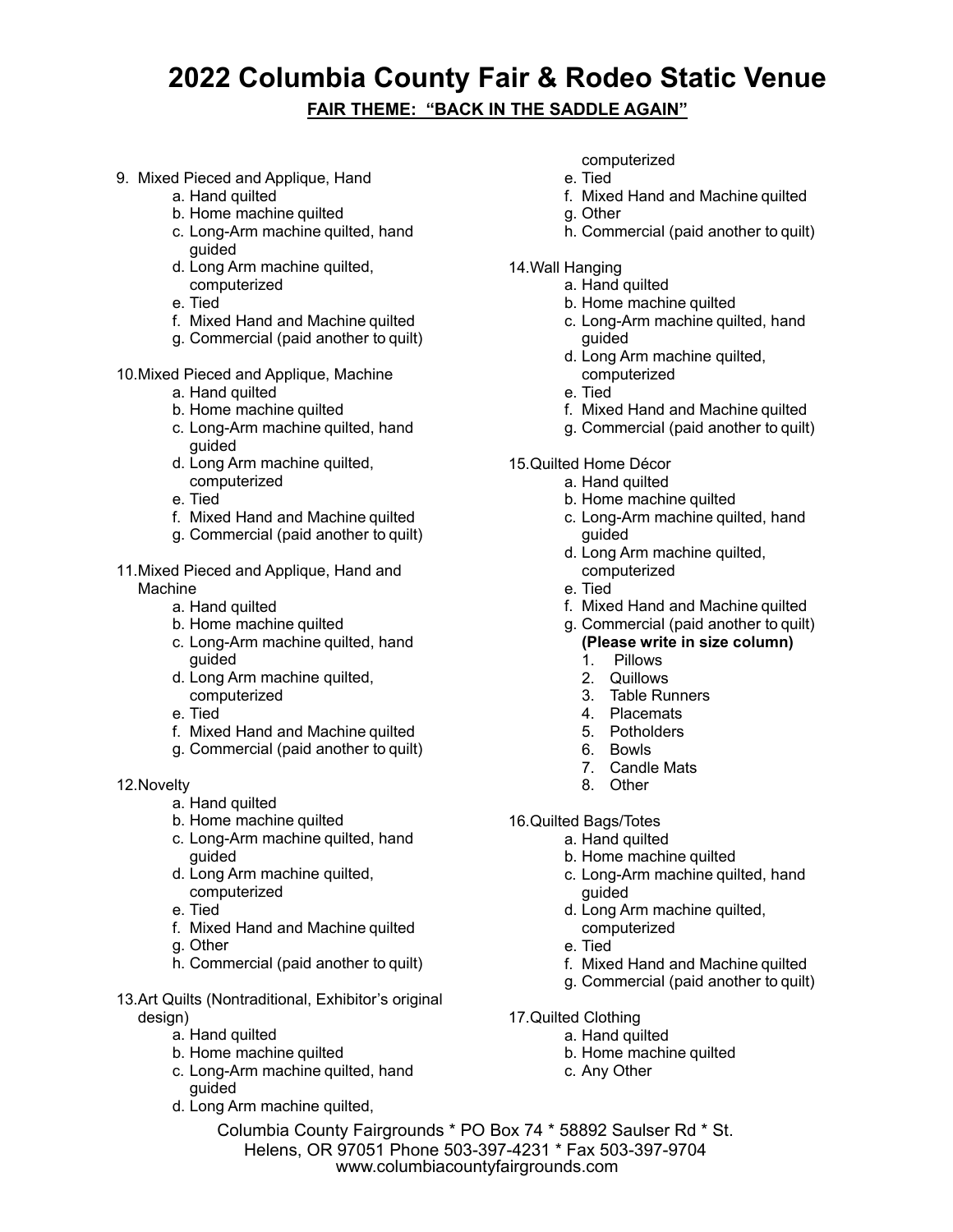#### **FAIR THEME: "BACK IN THE SADDLE AGAIN"**

- 9. Mixed Pieced and Applique, Hand
	- a. Hand quilted
	- b. Home machine quilted
	- c. Long-Arm machine quilted, hand guided
	- d. Long Arm machine quilted, computerized
	- e. Tied
	- f. Mixed Hand and Machine quilted
	- g. Commercial (paid another to quilt)
- 10. Mixed Pieced and Applique, Machine
	- a. Hand quilted
	- b. Home machine quilted
	- c. Long-Arm machine quilted, hand guided
	- d. Long Arm machine quilted, computerized
	- e. Tied
	- f. Mixed Hand and Machine quilted
	- g. Commercial (paid another to quilt)
- 11. Mixed Pieced and Applique, Hand and Machine
	- a. Hand quilted
	- b. Home machine quilted
	- c. Long-Arm machine quilted, hand guided
	- d. Long Arm machine quilted, computerized
	- e. Tied
	- f. Mixed Hand and Machine quilted
	- g. Commercial (paid another to quilt)
- 12. Novelty
	- a. Hand quilted
	- b. Home machine quilted
	- c. Long-Arm machine quilted, hand guided
	- d. Long Arm machine quilted, computerized
	- e. Tied
	- f. Mixed Hand and Machine quilted
	- g. Other
	- h. Commercial (paid another to quilt)
- 13. Art Quilts (Nontraditional, Exhibitor's original design)
	- a. Hand quilted
	- b. Home machine quilted
	- c. Long-Arm machine quilted, hand guided
	- d. Long Arm machine quilted,
- computerized
- e. Tied
- f. Mixed Hand and Machine quilted
- g. Other
- h. Commercial (paid another to quilt)
- 14. Wall Hanging
	- a. Hand quilted
	- b. Home machine quilted
	- c. Long-Arm machine quilted, hand guided
	- d. Long Arm machine quilted, computerized
	- e. Tied
	- f. Mixed Hand and Machine quilted
	- g. Commercial (paid another to quilt)
- 15. Quilted Home Décor
	- a. Hand quilted
		- b. Home machine quilted
		- c. Long-Arm machine quilted, hand guided
		- d. Long Arm machine quilted, computerized
		- e. Tied
	- f. Mixed Hand and Machine quilted
	- g. Commercial (paid another to quilt)
		- **(Please write in size column)**
		- 1. Pillows
		- 2. Quillows
		- 3. Table Runners
		- 4. Placemats
		- 5. Potholders
		- 6. Bowls
		- 7. Candle Mats
		- 8. Other
- 16. Quilted Bags/Totes
	- a. Hand quilted
		- b. Home machine quilted
		- c. Long-Arm machine quilted, hand guided
		- d. Long Arm machine quilted,
			- computerized
		- e. Tied
		- f. Mixed Hand and Machine quilted
		- g. Commercial (paid another to quilt)
- 17. Quilted Clothing
	- a. Hand quilted
	- b. Home machine quilted
	- c. Any Other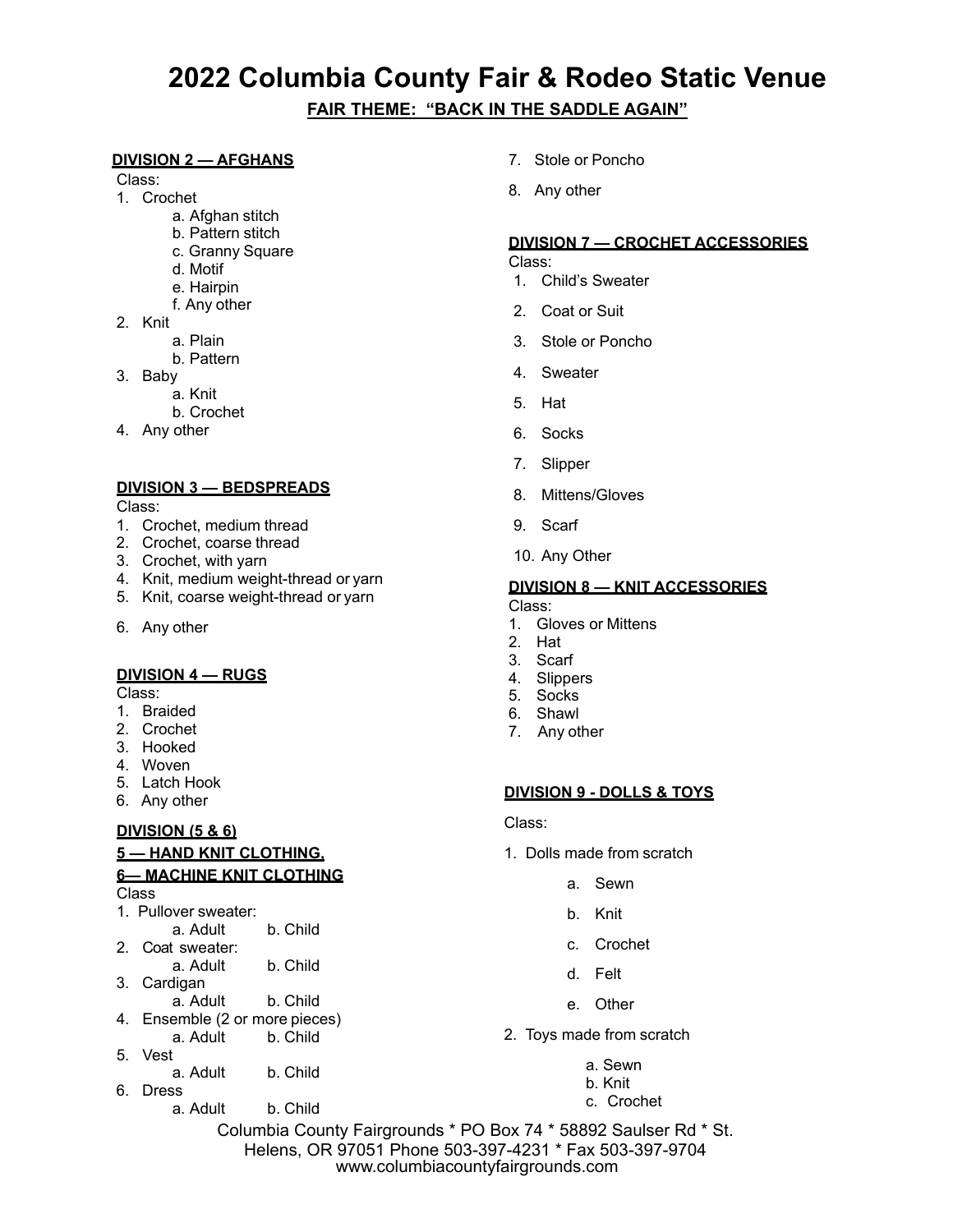#### **DIVISION 2 — AFGHANS**

Class:

- 1. Crochet
	- a. Afghan stitch
	- b. Pattern stitch
	- c. Granny Square
	- d. Motif
	- e. Hairpin
	- f. Any other
- 2. Knit
	- a. Plain
	- b. Pattern
- 3. Baby
	- a. Knit
	- b. Crochet
- 4. Any other

#### **DIVISION 3 — BEDSPREADS**

Class:

- 1. Crochet, medium thread
- 2. Crochet, coarse thread
- 3. Crochet, with yarn
- 4. Knit, medium weight-thread or yarn
- 5. Knit, coarse weight-thread or yarn
- 6. Any other

#### **DIVISION 4 — RUGS**

Class:

- 1. Braided
- 2. Crochet
- 3. Hooked
- 4. Woven
- 5. Latch Hook
- 6. Any other

#### **DIVISION (5 & 6)**

#### **5 — HAND KNIT CLOTHING,**

#### **6— MACHINE KNIT CLOTHING**  Class

1. Pullover sweater:

- a. Adult b. Child
- 2. Coat sweater: a. Adult b. Child
- 3. Cardigan
- a. Adult b. Child
- 4. Ensemble (2 or more pieces) a. Adult b. Child
- 5. Vest
- a. Adult b. Child
- 6. Dress
	- a. Adult b. Child
- 7. Stole or Poncho
- 8. Any other

#### **DIVISION 7 — CROCHET ACCESSORIES**

Class:

- 1. Child's Sweater
- 2. Coat or Suit
- 3. Stole or Poncho
- 4. Sweater
- 5. Hat
- 6. Socks
- 7. Slipper
- 8. Mittens/Gloves
- 9. Scarf
- 10. Any Other

#### **DIVISION 8 — KNIT ACCESSORIES**

Class:

- 1. Gloves or Mittens
- 2. Hat
- 3. Scarf
- 4. Slippers
- 5. Socks
- 6. Shawl
- 7. Any other

#### **DIVISION 9 - DOLLS & TOYS**

#### Class:

- 1. Dolls made from scratch
	- a. Sewn
	- b. Knit
	- c. Crochet
	- d. Felt
	- e. Other
- 2. Toys made from scratch
	- a. Sewn
	- b. Knit
	- c. Crochet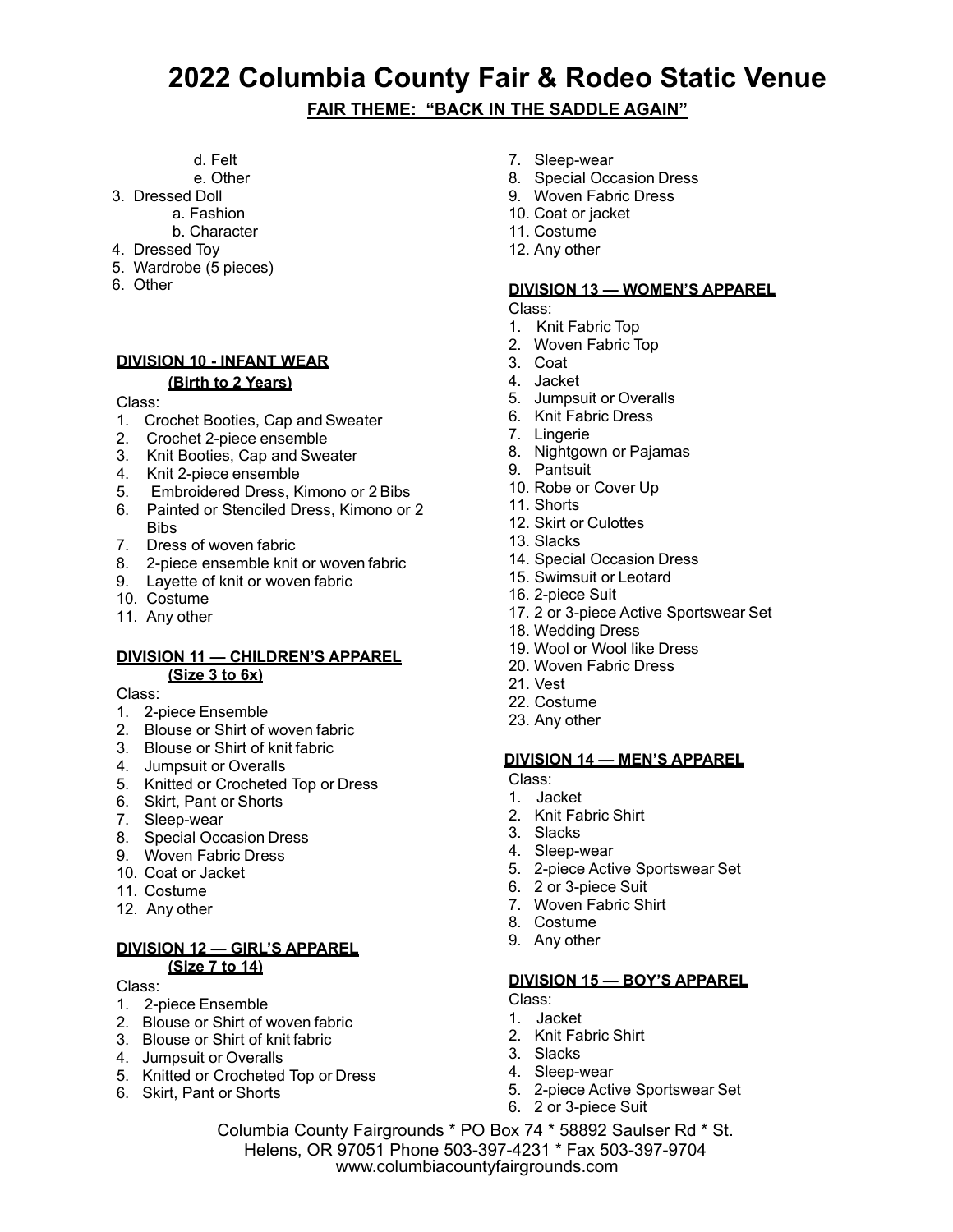**FAIR THEME: "BACK IN THE SADDLE AGAIN"**

- d. Felt
- e. Other
- 3. Dressed Doll
	- a. Fashion
	- b. Character
- 4. Dressed Toy
- 5. Wardrobe (5 pieces)
- 6. Other

#### **DIVISION 10 - INFANT WEAR**

#### **(Birth to 2 Years)**

Class:

- 1. Crochet Booties, Cap and Sweater
- 2. Crochet 2-piece ensemble
- 3. Knit Booties, Cap and Sweater
- 4. Knit 2-piece ensemble
- 5. Embroidered Dress, Kimono or 2 Bibs
- 6. Painted or Stenciled Dress, Kimono or 2 **Rihe**
- 7. Dress of woven fabric
- 8. 2-piece ensemble knit or woven fabric
- 9. Layette of knit or woven fabric
- 10. Costume
- 11. Any other

#### **DIVISION 11 — CHILDREN'S APPAREL (Size 3 to 6x)**

Class:

- 1. 2-piece Ensemble
- 2. Blouse or Shirt of woven fabric
- 3. Blouse or Shirt of knit fabric
- 4. Jumpsuit or Overalls
- 5. Knitted or Crocheted Top or Dress
- 6. Skirt, Pant or Shorts
- 7. Sleep-wear
- 8. Special Occasion Dress
- 9. Woven Fabric Dress
- 10. Coat or Jacket
- 11. Costume
- 12. Any other

#### **DIVISION 12 — GIRL'S APPAREL (Size 7 to 14)**

Class:

- 1. 2-piece Ensemble
- 2. Blouse or Shirt of woven fabric
- 3. Blouse or Shirt of knit fabric
- 4. Jumpsuit or Overalls
- 5. Knitted or Crocheted Top or Dress
- 6. Skirt, Pant or Shorts
- 7. Sleep-wear
- 8. Special Occasion Dress
- 9. Woven Fabric Dress
- 10. Coat or jacket
- 11. Costume
- 12. Any other

#### **DIVISION 13 — WOMEN'S APPAREL**

Class:

- 1. Knit Fabric Top
- 2. Woven Fabric Top
- 3. Coat
- 4. Jacket
- 5. Jumpsuit or Overalls
- 6. Knit Fabric Dress
- 7. Lingerie
- 8. Nightgown or Pajamas
- 9. Pantsuit
- 10. Robe or Cover Up
- 11. Shorts
- 12. Skirt or Culottes
- 13. Slacks
- 14. Special Occasion Dress
- 15. Swimsuit or Leotard
- 16. 2-piece Suit
- 17. 2 or 3-piece Active Sportswear Set
- 18. Wedding Dress
- 19. Wool or Wool like Dress
- 20. Woven Fabric Dress
- 21. Vest
- 22. Costume
- 23. Any other

#### **DIVISION 14 — MEN'S APPAREL**

- Class:
- 1. Jacket
- 2. Knit Fabric Shirt
- 3. Slacks
- 4. Sleep-wear
- 5. 2-piece Active Sportswear Set
- 6. 2 or 3-piece Suit
- 7. Woven Fabric Shirt
- 8. Costume
- 9. Any other

#### **DIVISION 15 — BOY'S APPAREL**

- Class:
- 1. Jacket
- 2. Knit Fabric Shirt
- 3. Slacks
- 4. Sleep-wear
- 5. 2-piece Active Sportswear Set
- 6. 2 or 3-piece Suit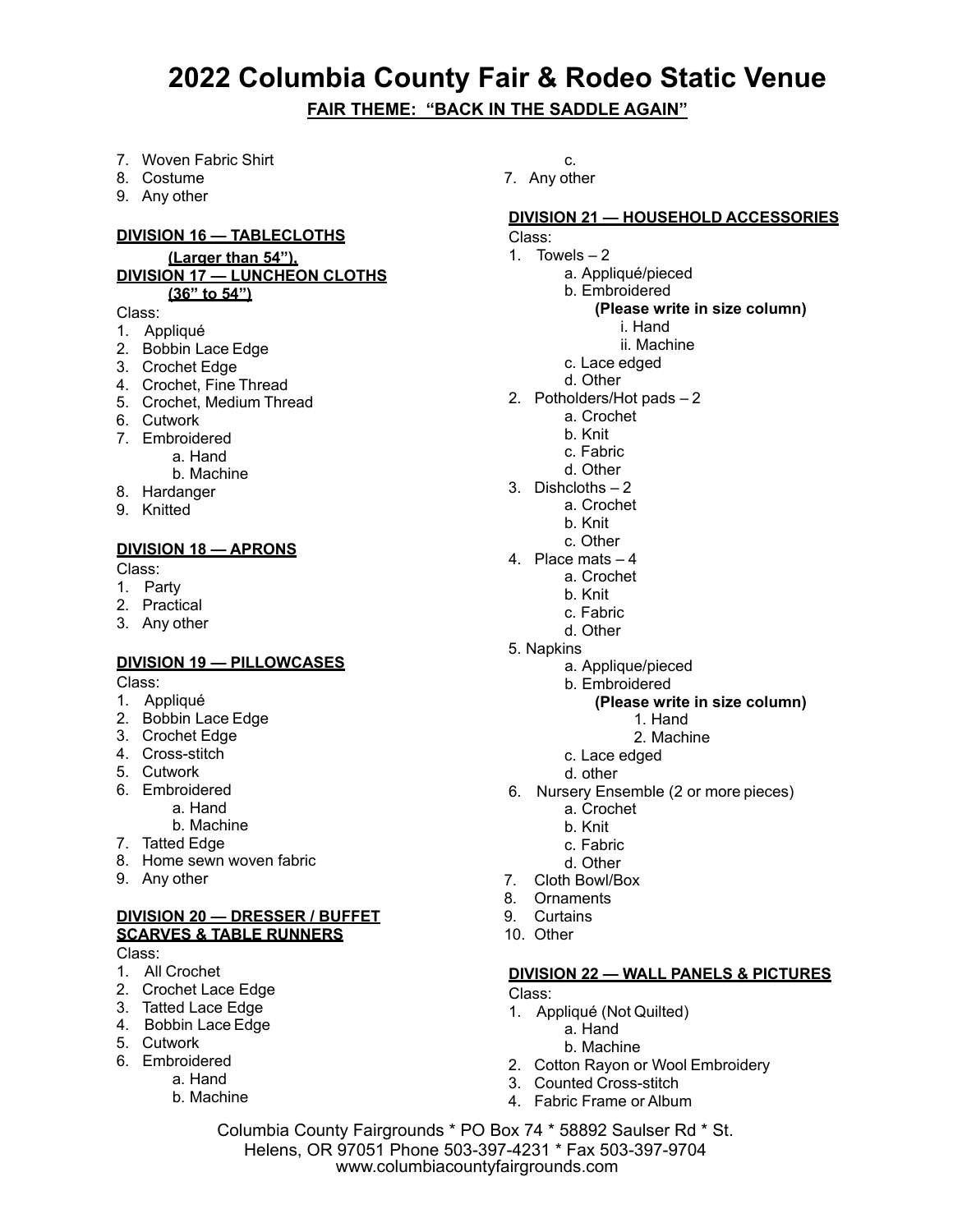- 7. Woven Fabric Shirt
- 8. Costume
- 9. Any other

#### **DIVISION 16 — TABLECLOTHS**

#### **(Larger than 54"), DIVISION 17 — LUNCHEON CLOTHS (36" to 54")**

#### Class:

- 1. Appliqué
- 2. Bobbin Lace Edge
- 3. Crochet Edge
- 4. Crochet, Fine Thread
- 5. Crochet, Medium Thread
- 6. Cutwork
- 7. Embroidered
	- a. Hand
		- b. Machine
- 8. Hardanger
- 9. Knitted

#### **DIVISION 18 — APRONS**

Class:

- 1. Party
- 2. Practical
- 3. Any other

#### **DIVISION 19 — PILLOWCASES**

Class:

- 1. Appliqué
- 2. Bobbin Lace Edge
- 3. Crochet Edge
- 4. Cross-stitch
- 5. Cutwork
- 6. Embroidered
- a. Hand
- b. Machine
- 7. Tatted Edge
- 8. Home sewn woven fabric
- 9. Any other

#### **DIVISION 20 — DRESSER / BUFFET SCARVES & TABLE RUNNERS**

Class:

- 1. All Crochet
- 2. Crochet Lace Edge
- 3. Tatted Lace Edge
- 4. Bobbin Lace Edge
- 5. Cutwork
- 6. Embroidered
	- a. Hand
	- b. Machine

c. 7. Any other

#### **DIVISION 21 — HOUSEHOLD ACCESSORIES**

- Class:
- 1. Towels  $-2$ 
	- a. Appliqué/pieced
	- b. Embroidered

#### **(Please write in size column)**

i. Hand

- ii. Machine
- c. Lace edged
- d. Other
- 2. Potholders/Hot pads 2
	- a. Crochet
	- b. Knit
	- c. Fabric
	- d. Other
- 3. Dishcloths 2
	- a. Crochet
	- b. Knit
	- c. Other
- 4. Place mats 4
	- a. Crochet
		- b. Knit
		- c. Fabric
		- d. Other
- 5. Napkins
	- a. Applique/pieced
	- b. Embroidered

#### **(Please write in size column)**

- 1. Hand
- 2. Machine
- c. Lace edged
- d. other
- 6. Nursery Ensemble (2 or more pieces)
	- a. Crochet
	- b. Knit
	- c. Fabric
	- d. Other
- 7. Cloth Bowl/Box
- 8. Ornaments
- 9. Curtains
- 10. Other

#### **DIVISION 22 — WALL PANELS & PICTURES**

Class:

- 1. Appliqué (Not Quilted)
	- a. Hand
	- b. Machine
- 2. Cotton Rayon or Wool Embroidery
- 3. Counted Cross-stitch
- 4. Fabric Frame or Album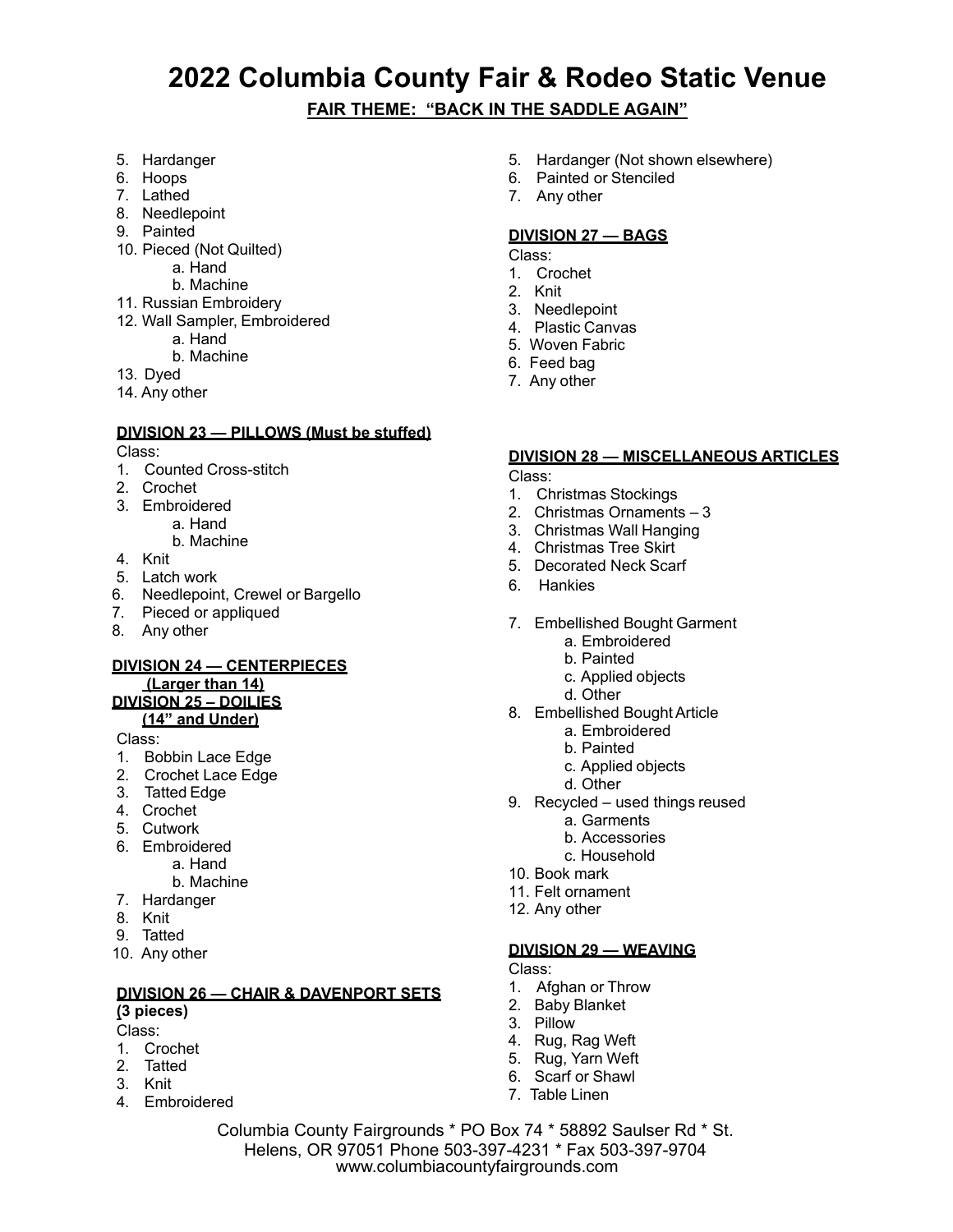#### **FAIR THEME: "BACK IN THE SADDLE AGAIN"**

- 5. Hardanger
- 6. Hoops
- 7. Lathed
- 8. Needlepoint
- 9. Painted
- 10. Pieced (Not Quilted)
	- a. Hand
	- b. Machine
- 11. Russian Embroidery
- 12. Wall Sampler, Embroidered
	- a. Hand
	- b. Machine
- 13. Dyed
- 14. Any other

#### **DIVISION 23 — PILLOWS (Must be stuffed)**

Class:

- 1. Counted Cross-stitch
- 2. Crochet
- 3. Embroidered
	- a. Hand
	- b. Machine
- 4. Knit
- 5. Latch work
- 6. Needlepoint, Crewel or Bargello
- 7. Pieced or appliqued
- 8. Any other

### **DIVISION 24 — CENTERPIECES**

#### **(Larger than 14) DIVISION 25 – DOILIES**

### **(14" and Under)**

#### Class:

- 1. Bobbin Lace Edge
- 2. Crochet Lace Edge
- 3. Tatted Edge
- 4. Crochet
- 5. Cutwork
- 6. Embroidered a. Hand
	- b. Machine
- 7. Hardanger
- 8. Knit
- 9. Tatted
- 10. Any other

#### **DIVISION 26 — CHAIR & DAVENPORT SETS**

#### **(3 pieces)**

- Class:
- 1. Crochet
- 2. Tatted
- 3. Knit
- 4. Embroidered
- 5. Hardanger (Not shown elsewhere)
- 6. Painted or Stenciled
- 7. Any other

#### **DIVISION 27 — BAGS**

- Class:
- 1. Crochet
- 2. Knit
- 3. Needlepoint
- 4. Plastic Canvas
- 5. Woven Fabric
- 6. Feed bag
- 7. Any other

#### **DIVISION 28 — MISCELLANEOUS ARTICLES**

Class:

- 1. Christmas Stockings
- 2. Christmas Ornaments 3
- 3. Christmas Wall Hanging
- 4. Christmas Tree Skirt
- 5. Decorated Neck Scarf
- 6. Hankies
- 7. Embellished Bought Garment
	- a. Embroidered
	- b. Painted
	- c. Applied objects
	- d. Other
- 8. Embellished Bought Article
	- a. Embroidered
	- b. Painted
	- c. Applied objects
	- d. Other
- 9. Recycled used things reused
	- a. Garments
	- b. Accessories
	- c. Household
- 10. Book mark
- 11. Felt ornament
- 12. Any other

#### **DIVISION 29 — WEAVING**

Class:

- 1. Afghan or Throw
- 2. Baby Blanket
- 3. Pillow
- 4. Rug, Rag Weft
- 5. Rug, Yarn Weft
- 6. Scarf or Shawl
- 7. Table Linen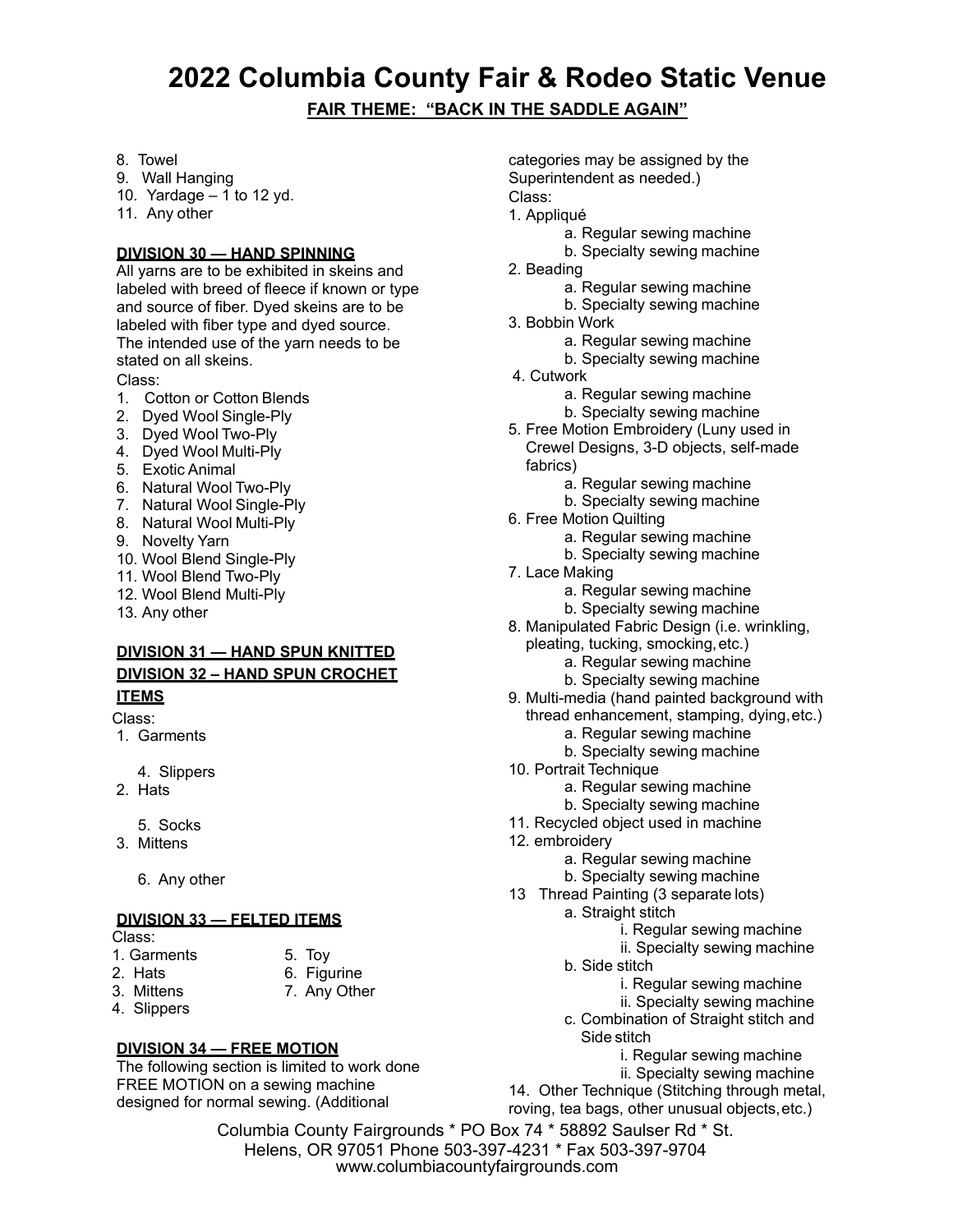**FAIR THEME: "BACK IN THE SADDLE AGAIN"**

- 8. Towel
- 9. Wall Hanging
- 10. Yardage  $-1$  to 12 yd.
- 11. Any other

#### **DIVISION 30 — HAND SPINNING**

All yarns are to be exhibited in skeins and labeled with breed of fleece if known or type and source of fiber. Dyed skeins are to be labeled with fiber type and dyed source. The intended use of the yarn needs to be stated on all skeins.

#### Class:

- 1. Cotton or Cotton Blends
- 2. Dyed Wool Single-Ply
- 3. Dyed Wool Two-Ply
- 4. Dyed Wool Multi-Ply
- 5. Exotic Animal
- 6. Natural Wool Two-Ply
- 7. Natural Wool Single-Ply
- 8. Natural Wool Multi-Ply
- 9. Novelty Yarn
- 10. Wool Blend Single-Ply
- 11. Wool Blend Two-Ply
- 12. Wool Blend Multi-Ply
- 13. Any other

#### **DIVISION 31 — HAND SPUN KNITTED DIVISION 32 – HAND SPUN CROCHET**

#### **ITEMS**

#### Class:

1. Garments

4. Slippers

- 2. Hats
	- 5. Socks
- 3. Mittens
	- 6. Any other

#### **DIVISION 33 — FELTED ITEMS**

- Class:
- 1. Garments 5. Toy
- 
- 2. Hats 6. Figurine
- 3. Mittens 7. Any Other
- 4. Slippers
- 

#### **DIVISION 34 — FREE MOTION**

The following section is limited to work done FREE MOTION on a sewing machine designed for normal sewing. (Additional

categories may be assigned by the Superintendent as needed.) Class:

- 1. Appliqué
	- a. Regular sewing machine
	- b. Specialty sewing machine
- 2. Beading
	- a. Regular sewing machine
	- b. Specialty sewing machine
- 3. Bobbin Work
	- a. Regular sewing machine
	- b. Specialty sewing machine
- 4. Cutwork
	- a. Regular sewing machine
	- b. Specialty sewing machine
- 5. Free Motion Embroidery (Luny used in Crewel Designs, 3-D objects, self-made fabrics)
	- a. Regular sewing machine
	- b. Specialty sewing machine
- 6. Free Motion Quilting
	- a. Regular sewing machine
	- b. Specialty sewing machine
- 7. Lace Making
	- a. Regular sewing machine
	- b. Specialty sewing machine
- 8. Manipulated Fabric Design (i.e. wrinkling,
	- pleating, tucking, smocking, etc.)
		- a. Regular sewing machine
		- b. Specialty sewing machine
- 9. Multi-media (hand painted background with thread enhancement, stamping, dying, etc.)
	- a. Regular sewing machine b. Specialty sewing machine
- 10. Portrait Technique
	- - a. Regular sewing machine b. Specialty sewing machine
- 11. Recycled object used in machine
- 12. embroidery
	- a. Regular sewing machine
	- b. Specialty sewing machine
- 13 Thread Painting (3 separate lots)
	- a. Straight stitch
		- i. Regular sewing machine
		- ii. Specialty sewing machine
	- b. Side stitch
		- i. Regular sewing machine
		- ii. Specialty sewing machine
	- c. Combination of Straight stitch and Side stitch
		- i. Regular sewing machine
		- ii. Specialty sewing machine
- 14. Other Technique (Stitching through metal,

roving, tea bags, other unusual objects, etc.)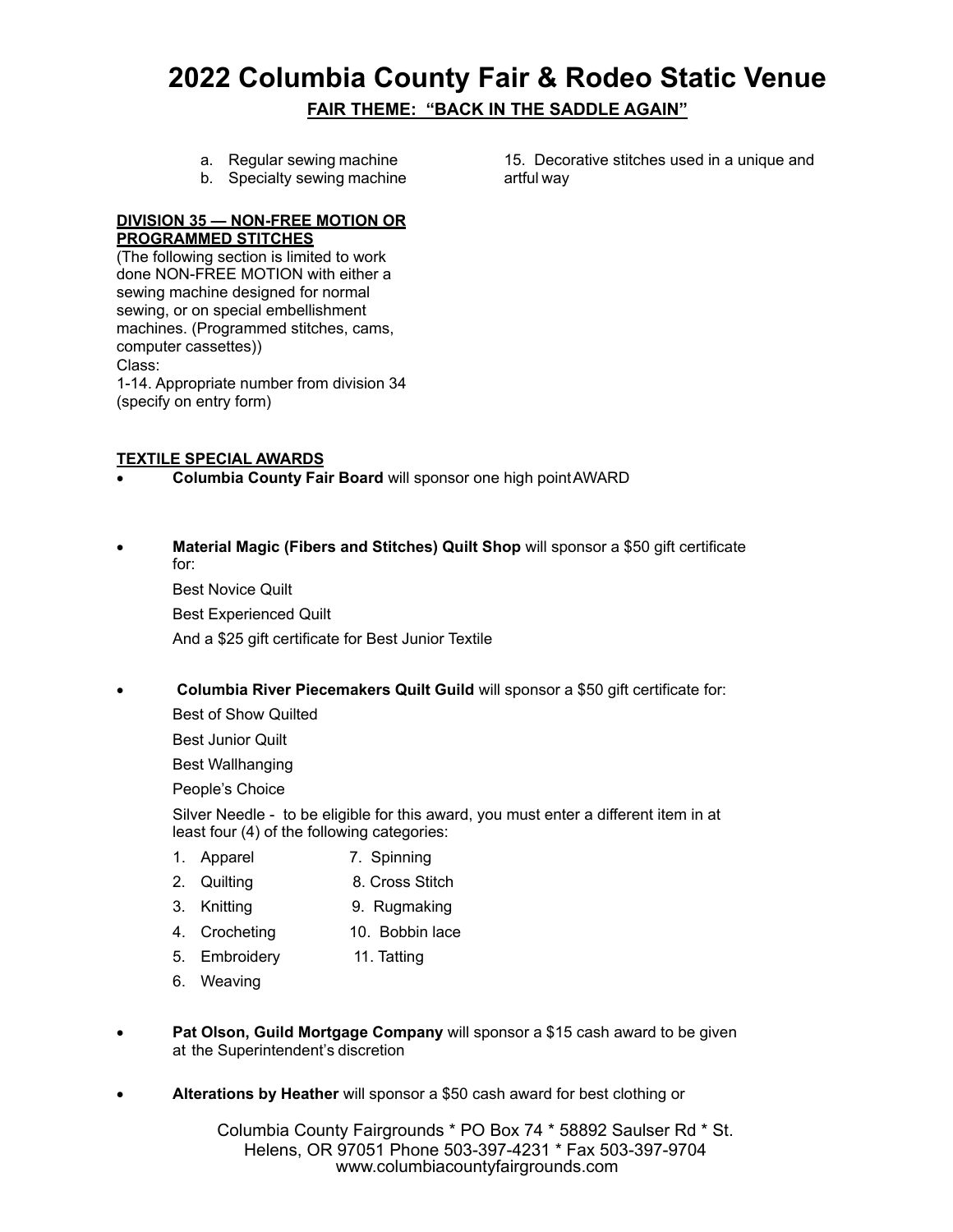- a. Regular sewing machine
- b. Specialty sewing machine

15. Decorative stitches used in a unique and artful way

#### **DIVISION 35 — NON-FREE MOTION OR PROGRAMMED STITCHES**

(The following section is limited to work done NON-FREE MOTION with either a sewing machine designed for normal sewing, or on special embellishment machines. (Programmed stitches, cams, computer cassettes)) Class: 1-14. Appropriate number from division 34 (specify on entry form)

#### **TEXTILE SPECIAL AWARDS**

- **Columbia County Fair Board** will sponsor one high point AWARD
- **Material Magic (Fibers and Stitches) Quilt Shop** will sponsor a \$50 gift certificate for:

Best Novice Quilt Best Experienced Quilt And a \$25 gift certificate for Best Junior Textile

**Columbia River Piecemakers Quilt Guild** will sponsor a \$50 gift certificate for:

Best of Show Quilted

Best Junior Quilt

Best Wallhanging

People's Choice

Silver Needle - to be eligible for this award, you must enter a different item in at least four (4) of the following categories:

- 1. Apparel 7. Spinning
- 2. Quilting 8. Cross Stitch
- 3. Knitting 9. Rugmaking
- 4. Crocheting 10. Bobbin lace
- 5. Embroidery 11. Tatting
- 6. Weaving
- **Pat Olson, Guild Mortgage Company** will sponsor a \$15 cash award to be given at the Superintendent's discretion
- **Alterations by Heather** will sponsor a \$50 cash award for best clothing or